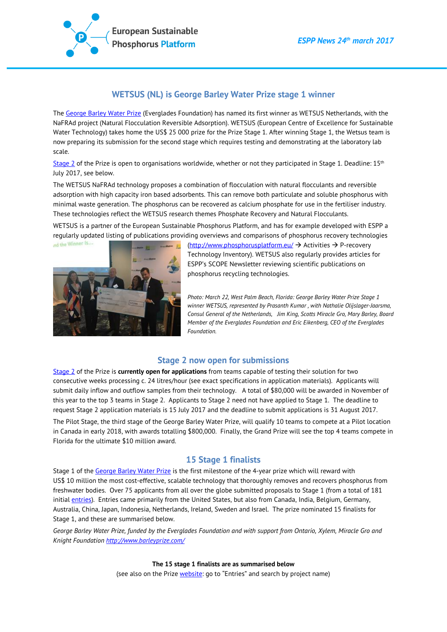

# **WETSUS (NL) is George Barley Water Prize stage 1 winner**

Th[e George Barley Water Prize](http://www.barleyprize.com/) (Everglades Foundation) has named its first winner as WETSUS Netherlands, with the NaFRAd project (Natural Flocculation Reversible Adsorption). WETSUS (European Centre of Excellence for Sustainable Water Technology) takes home the US\$ 25 000 prize for the Prize Stage 1. After winning Stage 1, the Wetsus team is now preparing its submission for the second stage which requires testing and demonstrating at the laboratory lab scale.

[Stage 2](http://www.barleyprize.com/#/about/cae52f16-d5b9-ed44-29eb-a152534d4442) of the Prize is open to organisations worldwide, whether or not they participated in Stage 1. Deadline: 15<sup>th</sup> July 2017, see below.

The WETSUS NaFRAd technology proposes a combination of flocculation with natural flocculants and reversible adsorption with high capacity iron based adsorbents. This can remove both particulate and soluble phosphorus with minimal waste generation. The phosphorus can be recovered as calcium phosphate for use in the fertiliser industry. These technologies reflect the WETSUS research themes Phosphate Recovery and Natural Flocculants.

WETSUS is a partner of the European Sustainable Phosphorus Platform, and has for example developed with ESPP a regularly updated listing of publications providing overviews and comparisons of phosphorus recovery technologies



[\(http://www.phosphorusplatform.eu/](http://www.phosphorusplatform.eu/)  $\rightarrow$  Activities  $\rightarrow$  P-recovery Technology Inventory). WETSUS also regularly provides articles for ESPP's SCOPE Newsletter reviewing scientific publications on phosphorus recycling technologies.

*Photo: March 22, West Palm Beach, Florida: George Barley Water Prize Stage 1 winner WETSUS, represented by Prasanth Kumar , with Nathalie Olijslager-Jaarsma, Consul General of the Netherlands, Jim King, Scotts Miracle Gro, Mary Barley, Board Member of the Everglades Foundation and Eric Eikenberg, CEO of the Everglades Foundation.*

### **Stage 2 now open for submissions**

[Stage 2](http://www.barleyprize.com/#/about/cae52f16-d5b9-ed44-29eb-a152534d4442) of the Prize is **currently open for applications** from teams capable of testing their solution for two consecutive weeks processing c. 24 litres/hour (see exact specifications in application materials). Applicants will submit daily inflow and outflow samples from their technology. A total of \$80,000 will be awarded in November of this year to the top 3 teams in Stage 2. Applicants to Stage 2 need not have applied to Stage 1. The deadline to request Stage 2 application materials is 15 July 2017 and the deadline to submit applications is 31 August 2017.

The Pilot Stage, the third stage of the George Barley Water Prize, will qualify 10 teams to compete at a Pilot location in Canada in early 2018, with awards totalling \$800,000. Finally, the Grand Prize will see the top 4 teams compete in Florida for the ultimate \$10 million award.

### **15 Stage 1 finalists**

Stage 1 of the [George Barley Water Prize](http://www.barleyprize.com/) is the first milestone of the 4-year prize which will reward with US\$ 10 million the most cost-effective, scalable technology that thoroughly removes and recovers phosphorus from freshwater bodies. Over 75 applicants from all over the globe submitted proposals to Stage 1 (from a total of 181 initial [entries\)](http://www.barleyprize.com/). Entries came primarily from the United States, but also from Canada, India, Belgium, Germany, Australia, China, Japan, Indonesia, Netherlands, Ireland, Sweden and Israel. The prize nominated 15 finalists for Stage 1, and these are summarised below.

*George Barley Water Prize, funded by the Everglades Foundation and with support from Ontario, Xylem, Miracle Gro and Knight Foundation<http://www.barleyprize.com/>*

#### **The 15 stage 1 finalists are as summarised below**

(see also on the Prize [website:](http://www.barleyprize.com/) go to "Entries" and search by project name)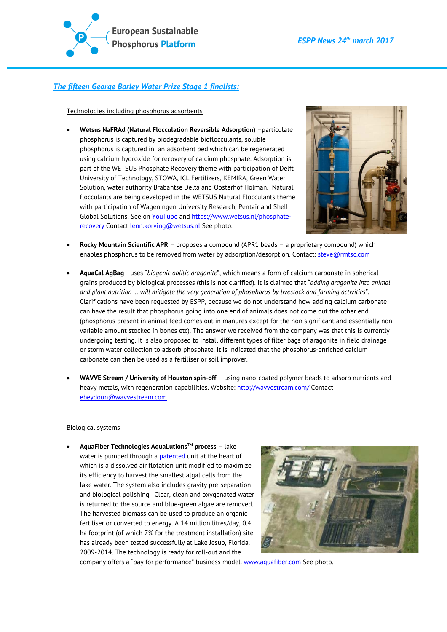

## *The fifteen George Barley Water Prize Stage 1 finalists:*

Technologies including phosphorus adsorbents

• **Wetsus NaFRAd (Natural Flocculation Reversible Adsorption)** –particulate phosphorus is captured by biodegradable bioflocculants, soluble phosphorus is captured in an adsorbent bed which can be regenerated using calcium hydroxide for recovery of calcium phosphate. Adsorption is part of the WETSUS Phosphate Recovery theme with participation of Delft University of Technology, STOWA, ICL Fertilizers, KEMIRA, Green Water Solution, water authority Brabantse Delta and Oosterhof Holman. Natural flocculants are being developed in the WETSUS Natural Flocculants theme with participation of Wageningen University Research, Pentair and Shell Global Solutions. See o[n YouTube](https://www.youtube.com/watch?v=lJ6ypN8tEgE) and [https://www.wetsus.nl/phosphate](https://www.wetsus.nl/phosphate-recovery)[recovery](https://www.wetsus.nl/phosphate-recovery) Contact **Leon.korving@wetsus.nl** See photo.



- **Rocky Mountain Scientific APR** proposes a compound (APR1 beads a proprietary compound) which enables phosphorus to be removed from water by adsorption/desorption. Contact[: steve@rmtsc.com](mailto:steve@rmtsc.com)
- **AquaCal AgBag** –uses "*biogenic oolitic aragonite*", which means a form of calcium carbonate in spherical grains produced by biological processes (this is not clarified). It is claimed that "*adding aragonite into animal and plant nutrition … will mitigate the very generation of phosphorus by livestock and farming activities*". Clarifications have been requested by ESPP, because we do not understand how adding calcium carbonate can have the result that phosphorus going into one end of animals does not come out the other end (phosphorus present in animal feed comes out in manures except for the non significant and essentially non variable amount stocked in bones etc). The answer we received from the company was that this is currently undergoing testing. It is also proposed to install different types of filter bags of aragonite in field drainage or storm water collection to adsorb phosphate. It is indicated that the phosphorus-enriched calcium carbonate can then be used as a fertiliser or soil improver.
- **WAVVE Stream / University of Houston spin-off** using nano-coated polymer beads to adsorb nutrients and heavy metals, with regeneration capabilities. Website:<http://wavvestream.com/> Contact [ebeydoun@wavvestream.com](mailto:ebeydoun@wavvestream.com)

#### Biological systems

• **AquaFiber Technologies AquaLutionsTM process** – lake water is pumped through a [patented](https://www.google.ch/patents/US8075783) unit at the heart of which is a dissolved air flotation unit modified to maximize its efficiency to harvest the smallest algal cells from the lake water. The system also includes gravity pre-separation and biological polishing. Clear, clean and oxygenated water is returned to the source and blue-green algae are removed. The harvested biomass can be used to produce an organic fertiliser or converted to energy. A 14 million litres/day, 0.4 ha footprint (of which 7% for the treatment installation) site has already been tested successfully at Lake Jesup, Florida, 2009-2014. The technology is ready for roll-out and the



company offers a "pay for performance" business model. [www.aquafiber.com](http://www.aquafiber.com/) See photo.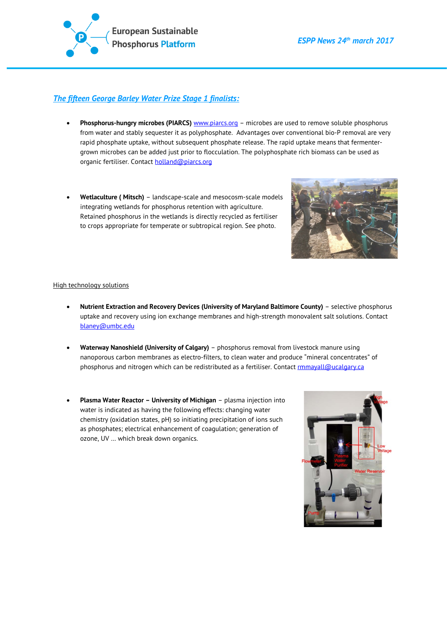

## *The fifteen George Barley Water Prize Stage 1 finalists:*

- **Phosphorus-hungry microbes (PIARCS)** [www.piarcs.org](http://www.piarcs.org/) microbes are used to remove soluble phosphorus from water and stably sequester it as polyphosphate. Advantages over conventional bio-P removal are very rapid phosphate uptake, without subsequent phosphate release. The rapid uptake means that fermentergrown microbes can be added just prior to flocculation. The polyphosphate rich biomass can be used as organic fertiliser. Contact **holland@piarcs.org**
- **Wetlaculture ( Mitsch)** landscape-scale and mesocosm-scale models integrating wetlands for phosphorus retention with agriculture. Retained phosphorus in the wetlands is directly recycled as fertiliser to crops appropriate for temperate or subtropical region. See photo.



#### High technology solutions

- **Nutrient Extraction and Recovery Devices (University of Maryland Baltimore County)** selective phosphorus uptake and recovery using ion exchange membranes and high-strength monovalent salt solutions. Contact [blaney@umbc.edu](mailto:blaney@umbc.edu)
- **Waterway Nanoshield (University of Calgary)** phosphorus removal from livestock manure using nanoporous carbon membranes as electro-filters, to clean water and produce "mineral concentrates" of phosphorus and nitrogen which can be redistributed as a fertiliser. Contact *rmmayall@ucalgary.ca*
- **Plasma Water Reactor – University of Michigan** plasma injection into water is indicated as having the following effects: changing water chemistry (oxidation states, pH) so initiating precipitation of ions such as phosphates; electrical enhancement of coagulation; generation of ozone, UV … which break down organics.